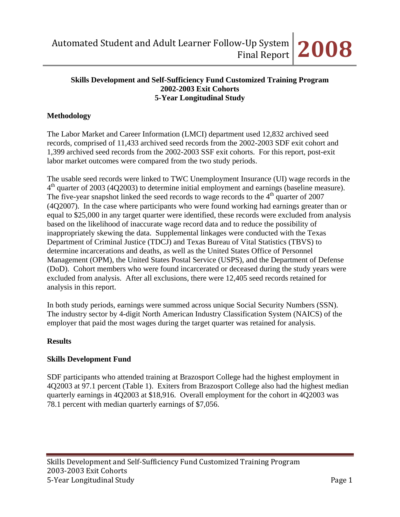#### **Skills Development and Self-Sufficiency Fund Customized Training Program 2002-2003 Exit Cohorts 5-Year Longitudinal Study**

## **Methodology**

The Labor Market and Career Information (LMCI) department used 12,832 archived seed records, comprised of 11,433 archived seed records from the 2002-2003 SDF exit cohort and 1,399 archived seed records from the 2002-2003 SSF exit cohorts. For this report, post-exit labor market outcomes were compared from the two study periods.

The usable seed records were linked to TWC Unemployment Insurance (UI) wage records in the  $4<sup>th</sup>$  quarter of 2003 (4Q2003) to determine initial employment and earnings (baseline measure). The five-year snapshot linked the seed records to wage records to the  $4<sup>th</sup>$  quarter of 2007 (4Q2007). In the case where participants who were found working had earnings greater than or equal to \$25,000 in any target quarter were identified, these records were excluded from analysis based on the likelihood of inaccurate wage record data and to reduce the possibility of inappropriately skewing the data. Supplemental linkages were conducted with the Texas Department of Criminal Justice (TDCJ) and Texas Bureau of Vital Statistics (TBVS) to determine incarcerations and deaths, as well as the United States Office of Personnel Management (OPM), the United States Postal Service (USPS), and the Department of Defense (DoD). Cohort members who were found incarcerated or deceased during the study years were excluded from analysis. After all exclusions, there were 12,405 seed records retained for analysis in this report.

In both study periods, earnings were summed across unique Social Security Numbers (SSN). The industry sector by 4-digit North American Industry Classification System (NAICS) of the employer that paid the most wages during the target quarter was retained for analysis.

#### **Results**

## **Skills Development Fund**

SDF participants who attended training at Brazosport College had the highest employment in 4Q2003 at 97.1 percent (Table 1). Exiters from Brazosport College also had the highest median quarterly earnings in 4Q2003 at \$18,916. Overall employment for the cohort in 4Q2003 was 78.1 percent with median quarterly earnings of \$7,056.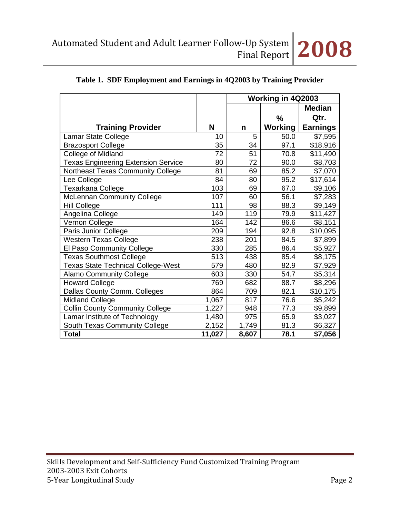

|                                            |        | Working in 4Q2003 |                |                 |  |
|--------------------------------------------|--------|-------------------|----------------|-----------------|--|
|                                            |        |                   |                | <b>Median</b>   |  |
|                                            |        |                   | %              | Qtr.            |  |
| <b>Training Provider</b>                   | N      | n                 | <b>Working</b> | <b>Earnings</b> |  |
| Lamar State College                        | 10     | 5                 | 50.0           | \$7,595         |  |
| <b>Brazosport College</b>                  | 35     | 34                | 97.1           | \$18,916        |  |
| College of Midland                         | 72     | 51                | 70.8           | \$11,490        |  |
| <b>Texas Engineering Extension Service</b> | 80     | 72                | 90.0           | \$8,703         |  |
| Northeast Texas Community College          | 81     | 69                | 85.2           | \$7,070         |  |
| Lee College                                | 84     | 80                | 95.2           | \$17,614        |  |
| Texarkana College                          | 103    | 69                | 67.0           | \$9,106         |  |
| <b>McLennan Community College</b>          | 107    | 60                | 56.1           | \$7,283         |  |
| <b>Hill College</b>                        | 111    | 98                | 88.3           | \$9,149         |  |
| Angelina College                           | 149    | 119               | 79.9           | \$11,427        |  |
| Vernon College                             | 164    | 142               | 86.6           | \$8,151         |  |
| Paris Junior College                       | 209    | 194               | 92.8           | \$10,095        |  |
| <b>Western Texas College</b>               | 238    | 201               | 84.5           | \$7,899         |  |
| El Paso Community College                  | 330    | 285               | 86.4           | \$5,927         |  |
| <b>Texas Southmost College</b>             | 513    | 438               | 85.4           | \$8,175         |  |
| <b>Texas State Technical College-West</b>  | 579    | 480               | 82.9           | \$7,929         |  |
| <b>Alamo Community College</b>             | 603    | 330               | 54.7           | \$5,314         |  |
| <b>Howard College</b>                      | 769    | 682               | 88.7           | \$8,296         |  |
| Dallas County Comm. Colleges               | 864    | 709               | 82.1           | \$10,175        |  |
| <b>Midland College</b>                     | 1,067  | 817               | 76.6           | \$5,242         |  |
| <b>Collin County Community College</b>     | 1,227  | 948               | 77.3           | \$9,899         |  |
| Lamar Institute of Technology              | 1,480  | 975               | 65.9           | \$3,027         |  |
| South Texas Community College              | 2,152  | 1,749             | 81.3           | \$6,327         |  |
| <b>Total</b>                               | 11,027 | 8,607             | 78.1           | \$7,056         |  |

# **Table 1. SDF Employment and Earnings in 4Q2003 by Training Provider**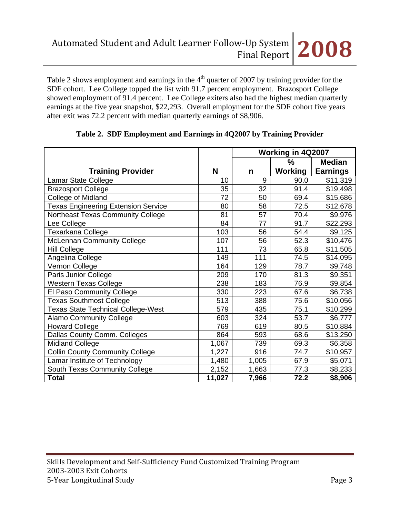Table 2 shows employment and earnings in the  $4<sup>th</sup>$  quarter of 2007 by training provider for the SDF cohort. Lee College topped the list with 91.7 percent employment. Brazosport College showed employment of 91.4 percent. Lee College exiters also had the highest median quarterly earnings at the five year snapshot, \$22,293. Overall employment for the SDF cohort five years after exit was 72.2 percent with median quarterly earnings of \$8,906.

|                                            |        | Working in 4Q2007 |                |                 |  |
|--------------------------------------------|--------|-------------------|----------------|-----------------|--|
|                                            |        |                   | ℅              | <b>Median</b>   |  |
| <b>Training Provider</b>                   | N      | n                 | <b>Working</b> | <b>Earnings</b> |  |
| Lamar State College                        | 10     | 9                 | 90.0           | \$11,319        |  |
| <b>Brazosport College</b>                  | 35     | 32                | 91.4           | \$19,498        |  |
| College of Midland                         | 72     | 50                | 69.4           | \$15,686        |  |
| <b>Texas Engineering Extension Service</b> | 80     | 58                | 72.5           | \$12,678        |  |
| Northeast Texas Community College          | 81     | 57                | 70.4           | \$9,976         |  |
| Lee College                                | 84     | 77                | 91.7           | \$22,293        |  |
| Texarkana College                          | 103    | 56                | 54.4           | \$9,125         |  |
| <b>McLennan Community College</b>          | 107    | 56                | 52.3           | \$10,476        |  |
| <b>Hill College</b>                        | 111    | 73                | 65.8           | \$11,505        |  |
| Angelina College                           | 149    | 111               | 74.5           | \$14,095        |  |
| Vernon College                             | 164    | 129               | 78.7           | \$9,748         |  |
| Paris Junior College                       | 209    | 170               | 81.3           | \$9,351         |  |
| <b>Western Texas College</b>               | 238    | 183               | 76.9           | \$9,854         |  |
| El Paso Community College                  | 330    | 223               | 67.6           | \$6,738         |  |
| <b>Texas Southmost College</b>             | 513    | 388               | 75.6           | \$10,056        |  |
| <b>Texas State Technical College-West</b>  | 579    | 435               | 75.1           | \$10,299        |  |
| <b>Alamo Community College</b>             | 603    | 324               | 53.7           | \$6,777         |  |
| <b>Howard College</b>                      | 769    | 619               | 80.5           | \$10,884        |  |
| Dallas County Comm. Colleges               | 864    | 593               | 68.6           | \$13,250        |  |
| <b>Midland College</b>                     | 1,067  | 739               | 69.3           | \$6,358         |  |
| <b>Collin County Community College</b>     | 1,227  | 916               | 74.7           | \$10,957        |  |
| Lamar Institute of Technology              | 1,480  | 1,005             | 67.9           | \$5,071         |  |
| South Texas Community College              | 2,152  | 1,663             | 77.3           | \$8,233         |  |
| <b>Total</b>                               | 11,027 | 7,966             | 72.2           | \$8,906         |  |

## **Table 2. SDF Employment and Earnings in 4Q2007 by Training Provider**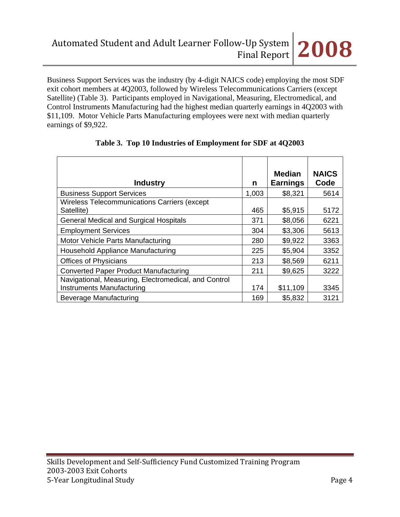Business Support Services was the industry (by 4-digit NAICS code) employing the most SDF exit cohort members at 4Q2003, followed by Wireless Telecommunications Carriers (except Satellite) (Table 3). Participants employed in Navigational, Measuring, Electromedical, and Control Instruments Manufacturing had the highest median quarterly earnings in 4Q2003 with \$11,109. Motor Vehicle Parts Manufacturing employees were next with median quarterly earnings of \$9,922.

|                                                      |       | <b>Median</b>   | <b>NAICS</b> |
|------------------------------------------------------|-------|-----------------|--------------|
| <b>Industry</b>                                      | n     | <b>Earnings</b> | Code         |
| <b>Business Support Services</b>                     | 1,003 | \$8,321         | 5614         |
| Wireless Telecommunications Carriers (except         |       |                 |              |
| Satellite)                                           | 465   | \$5,915         | 5172         |
| <b>General Medical and Surgical Hospitals</b>        | 371   | \$8,056         | 6221         |
| <b>Employment Services</b>                           | 304   | \$3,306         | 5613         |
| Motor Vehicle Parts Manufacturing                    | 280   | \$9,922         | 3363         |
| Household Appliance Manufacturing                    | 225   | \$5,904         | 3352         |
| <b>Offices of Physicians</b>                         | 213   | \$8,569         | 6211         |
| <b>Converted Paper Product Manufacturing</b>         | 211   | \$9,625         | 3222         |
| Navigational, Measuring, Electromedical, and Control |       |                 |              |
| Instruments Manufacturing                            | 174   | \$11,109        | 3345         |
| Beverage Manufacturing                               | 169   | \$5,832         | 3121         |

## **Table 3. Top 10 Industries of Employment for SDF at 4Q2003**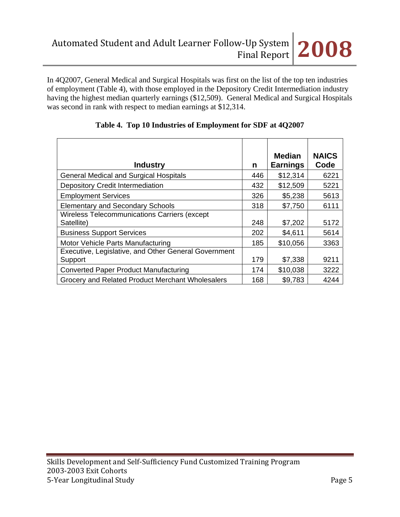In 4Q2007, General Medical and Surgical Hospitals was first on the list of the top ten industries of employment (Table 4), with those employed in the Depository Credit Intermediation industry having the highest median quarterly earnings (\$12,509). General Medical and Surgical Hospitals was second in rank with respect to median earnings at \$12,314.

| <b>Industry</b>                                                 | n   | <b>Median</b><br><b>Earnings</b> | <b>NAICS</b><br>Code |
|-----------------------------------------------------------------|-----|----------------------------------|----------------------|
| <b>General Medical and Surgical Hospitals</b>                   | 446 | \$12,314                         | 6221                 |
| <b>Depository Credit Intermediation</b>                         | 432 | \$12,509                         | 5221                 |
| <b>Employment Services</b>                                      | 326 | \$5,238                          | 5613                 |
| <b>Elementary and Secondary Schools</b>                         | 318 | \$7,750                          | 6111                 |
| Wireless Telecommunications Carriers (except<br>Satellite)      | 248 | \$7,202                          | 5172                 |
| <b>Business Support Services</b>                                | 202 | \$4,611                          | 5614                 |
| Motor Vehicle Parts Manufacturing                               | 185 | \$10,056                         | 3363                 |
| Executive, Legislative, and Other General Government<br>Support | 179 | \$7,338                          | 9211                 |
| <b>Converted Paper Product Manufacturing</b>                    | 174 | \$10,038                         | 3222                 |
| Grocery and Related Product Merchant Wholesalers                | 168 | \$9,783                          | 4244                 |

## **Table 4. Top 10 Industries of Employment for SDF at 4Q2007**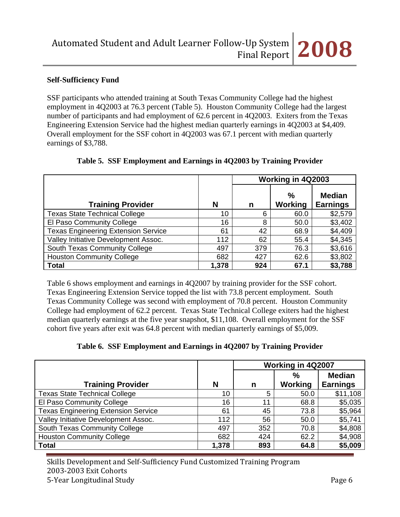### **Self-Sufficiency Fund**

SSF participants who attended training at South Texas Community College had the highest employment in 4Q2003 at 76.3 percent (Table 5). Houston Community College had the largest number of participants and had employment of 62.6 percent in 4Q2003. Exiters from the Texas Engineering Extension Service had the highest median quarterly earnings in 4Q2003 at \$4,409. Overall employment for the SSF cohort in 4Q2003 was 67.1 percent with median quarterly earnings of \$3,788.

|                                            |       |     | Working in 4Q2003        |                                  |
|--------------------------------------------|-------|-----|--------------------------|----------------------------------|
| <b>Training Provider</b>                   | N     | n   | $\frac{9}{6}$<br>Working | <b>Median</b><br><b>Earnings</b> |
| <b>Texas State Technical College</b>       | 10    | 6   | 60.0                     | \$2,579                          |
| El Paso Community College                  | 16    | 8   | 50.0                     | \$3,402                          |
| <b>Texas Engineering Extension Service</b> | 61    | 42  | 68.9                     | \$4,409                          |
| Valley Initiative Development Assoc.       | 112   | 62  | 55.4                     | \$4,345                          |
| South Texas Community College              | 497   | 379 | 76.3                     | \$3,616                          |
| <b>Houston Community College</b>           | 682   | 427 | 62.6                     | \$3,802                          |
| <b>Total</b>                               | 1,378 | 924 | 67.1                     | \$3,788                          |

#### **Table 5. SSF Employment and Earnings in 4Q2003 by Training Provider**

Table 6 shows employment and earnings in 4Q2007 by training provider for the SSF cohort. Texas Engineering Extension Service topped the list with 73.8 percent employment. South Texas Community College was second with employment of 70.8 percent. Houston Community College had employment of 62.2 percent. Texas State Technical College exiters had the highest median quarterly earnings at the five year snapshot, \$11,108. Overall employment for the SSF cohort five years after exit was 64.8 percent with median quarterly earnings of \$5,009.

|  |  | Table 6. SSF Employment and Earnings in 4Q2007 by Training Provider |  |  |  |  |  |  |
|--|--|---------------------------------------------------------------------|--|--|--|--|--|--|
|--|--|---------------------------------------------------------------------|--|--|--|--|--|--|

|                                            |       |     | Working in 4Q2007 |                                  |
|--------------------------------------------|-------|-----|-------------------|----------------------------------|
| <b>Training Provider</b>                   | N     | n   | $\%$<br>Working   | <b>Median</b><br><b>Earnings</b> |
| <b>Texas State Technical College</b>       | 10    | 5   | 50.0              | \$11,108                         |
| El Paso Community College                  | 16    | 11  | 68.8              | \$5,035                          |
| <b>Texas Engineering Extension Service</b> | 61    | 45  | 73.8              | \$5,964                          |
| Valley Initiative Development Assoc.       | 112   | 56  | 50.0              | \$5,741                          |
| South Texas Community College              | 497   | 352 | 70.8              | \$4,808                          |
| <b>Houston Community College</b>           | 682   | 424 | 62.2              | \$4,908                          |
| <b>Total</b>                               | 1,378 | 893 | 64.8              | \$5,009                          |

Skills Development and Self‐Sufficiency Fund Customized Training Program 2003‐2003 Exit Cohorts 5‐Year Longitudinal Study Page 6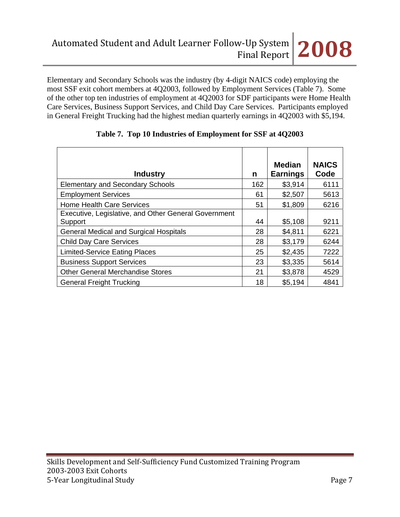Elementary and Secondary Schools was the industry (by 4-digit NAICS code) employing the most SSF exit cohort members at 4Q2003, followed by Employment Services (Table 7). Some of the other top ten industries of employment at 4Q2003 for SDF participants were Home Health Care Services, Business Support Services, and Child Day Care Services. Participants employed in General Freight Trucking had the highest median quarterly earnings in 4Q2003 with \$5,194.

| <b>Industry</b>                                                 | n   | <b>Median</b><br><b>Earnings</b> | <b>NAICS</b><br>Code |
|-----------------------------------------------------------------|-----|----------------------------------|----------------------|
| <b>Elementary and Secondary Schools</b>                         | 162 | \$3,914                          | 6111                 |
| <b>Employment Services</b>                                      | 61  | \$2,507                          | 5613                 |
| <b>Home Health Care Services</b>                                | 51  | \$1,809                          | 6216                 |
| Executive, Legislative, and Other General Government<br>Support | 44  | \$5,108                          | 9211                 |
| <b>General Medical and Surgical Hospitals</b>                   | 28  | \$4,811                          | 6221                 |
| <b>Child Day Care Services</b>                                  | 28  | \$3,179                          | 6244                 |
| <b>Limited-Service Eating Places</b>                            | 25  | \$2,435                          | 7222                 |
| <b>Business Support Services</b>                                | 23  | \$3,335                          | 5614                 |
| <b>Other General Merchandise Stores</b>                         | 21  | \$3,878                          | 4529                 |
| <b>General Freight Trucking</b>                                 | 18  | \$5,194                          | 4841                 |

## **Table 7. Top 10 Industries of Employment for SSF at 4Q2003**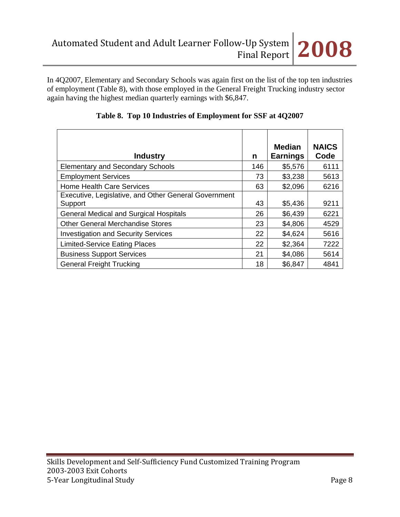In 4Q2007, Elementary and Secondary Schools was again first on the list of the top ten industries of employment (Table 8), with those employed in the General Freight Trucking industry sector again having the highest median quarterly earnings with \$6,847.

| <b>Industry</b>                                                 | n   | <b>Median</b><br><b>Earnings</b> | <b>NAICS</b><br>Code |
|-----------------------------------------------------------------|-----|----------------------------------|----------------------|
| <b>Elementary and Secondary Schools</b>                         | 146 | \$5,576                          | 6111                 |
| <b>Employment Services</b>                                      | 73  | \$3,238                          | 5613                 |
| <b>Home Health Care Services</b>                                | 63  | \$2,096                          | 6216                 |
| Executive, Legislative, and Other General Government<br>Support | 43  | \$5,436                          | 9211                 |
| <b>General Medical and Surgical Hospitals</b>                   | 26  | \$6,439                          | 6221                 |
| <b>Other General Merchandise Stores</b>                         | 23  | \$4,806                          | 4529                 |
| <b>Investigation and Security Services</b>                      | 22  | \$4,624                          | 5616                 |
| <b>Limited-Service Eating Places</b>                            | 22  | \$2,364                          | 7222                 |
| <b>Business Support Services</b>                                | 21  | \$4,086                          | 5614                 |
| <b>General Freight Trucking</b>                                 | 18  | \$6,847                          | 4841                 |

|  | Table 8. Top 10 Industries of Employment for SSF at 4Q2007 |  |
|--|------------------------------------------------------------|--|